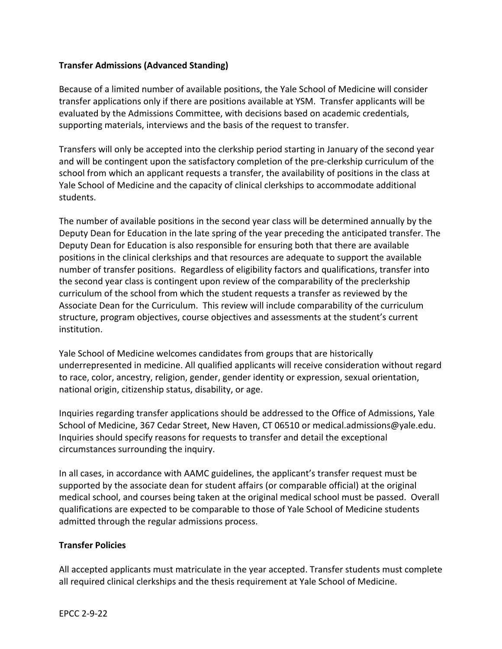## **Transfer Admissions (Advanced Standing)**

Because of a limited number of available positions, the Yale School of Medicine will consider transfer applications only if there are positions available at YSM. Transfer applicants will be evaluated by the Admissions Committee, with decisions based on academic credentials, supporting materials, interviews and the basis of the request to transfer.

Transfers will only be accepted into the clerkship period starting in January of the second year and will be contingent upon the satisfactory completion of the pre-clerkship curriculum of the school from which an applicant requests a transfer, the availability of positions in the class at Yale School of Medicine and the capacity of clinical clerkships to accommodate additional students.

The number of available positions in the second year class will be determined annually by the Deputy Dean for Education in the late spring of the year preceding the anticipated transfer. The Deputy Dean for Education is also responsible for ensuring both that there are available positions in the clinical clerkships and that resources are adequate to support the available number of transfer positions. Regardless of eligibility factors and qualifications, transfer into the second year class is contingent upon review of the comparability of the preclerkship curriculum of the school from which the student requests a transfer as reviewed by the Associate Dean for the Curriculum. This review will include comparability of the curriculum structure, program objectives, course objectives and assessments at the student's current institution.

Yale School of Medicine welcomes candidates from groups that are historically underrepresented in medicine. All qualified applicants will receive consideration without regard to race, color, ancestry, religion, gender, gender identity or expression, sexual orientation, national origin, citizenship status, disability, or age.

Inquiries regarding transfer applications should be addressed to the Office of Admissions, Yale School of Medicine, 367 Cedar Street, New Haven, CT 06510 or medical.admissions@yale.edu. Inquiries should specify reasons for requests to transfer and detail the exceptional circumstances surrounding the inquiry.

In all cases, in accordance with AAMC guidelines, the applicant's transfer request must be supported by the associate dean for student affairs (or comparable official) at the original medical school, and courses being taken at the original medical school must be passed. Overall qualifications are expected to be comparable to those of Yale School of Medicine students admitted through the regular admissions process.

## **Transfer Policies**

All accepted applicants must matriculate in the year accepted. Transfer students must complete all required clinical clerkships and the thesis requirement at Yale School of Medicine.